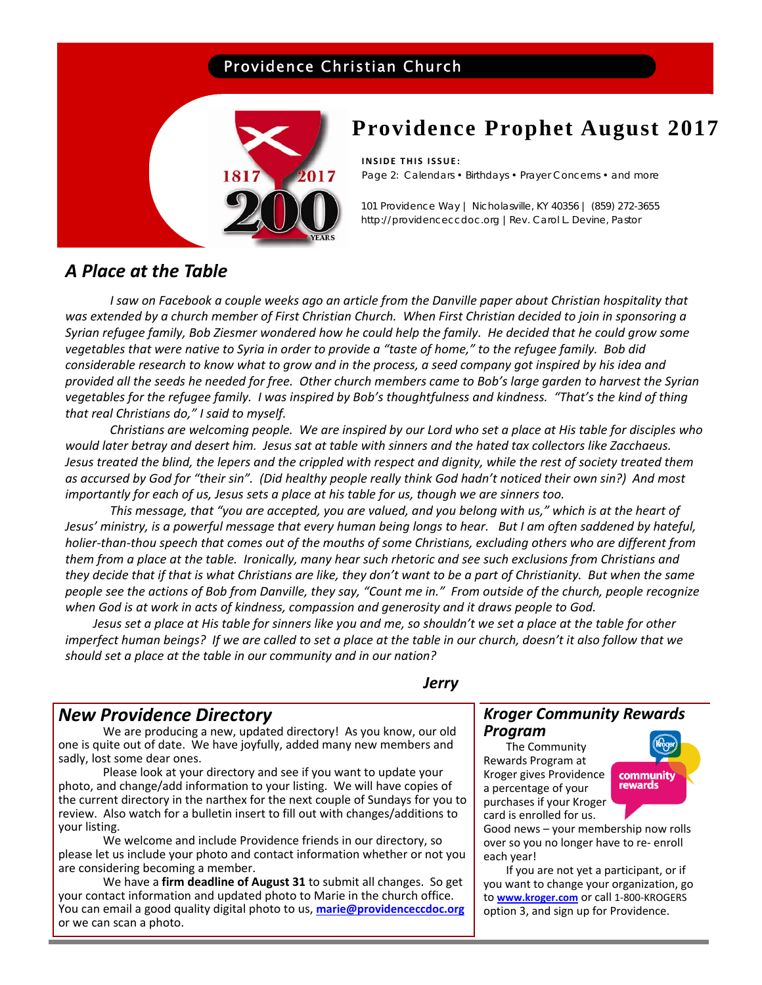## Providence Christian Church



## **Providence Prophet August 2017**

### **INSIDE THIS ISSUE:**

Page 2: Calendars • Birthdays • Prayer Concerns • and more

101 Providence Way | Nicholasville, KY 40356 | (859) 272-3655 http://providenceccdoc.org |Rev. Carol L. Devine, Pastor

## *A Place at the Table*

I saw on Facebook a couple weeks ago an article from the Danville paper about Christian hospitality that was extended by a church member of First Christian Church. When First Christian decided to join in sponsoring a Syrian refugee family, Bob Ziesmer wondered how he could help the family. He decided that he could grow some vegetables that were native to Syria in order to provide a "taste of home," to the refugee family. Bob did considerable research to know what to grow and in the process, a seed company got inspired by his idea and provided all the seeds he needed for free. Other church members came to Bob's large garden to harvest the Syrian vegetables for the refugee family. I was inspired by Bob's thoughtfulness and kindness. "That's the kind of thing *that real Christians do," I said to myself.*

Christians are welcoming people. We are inspired by our Lord who set a place at His table for disciples who would later betray and desert him. Jesus sat at table with sinners and the hated tax collectors like Zacchaeus. Jesus treated the blind, the lepers and the crippled with respect and dignity, while the rest of society treated them as accursed by God for "their sin". (Did healthy people really think God hadn't noticed their own sin?) And most importantly for each of us, Jesus sets a place at his table for us, though we are sinners too.

This message, that "you are accepted, you are valued, and you belong with us," which is at the heart of Jesus' ministry, is a powerful message that every human being longs to hear. But I am often saddened by hateful, holier-than-thou speech that comes out of the mouths of some Christians, excluding others who are different from them from a place at the table. Ironically, many hear such rhetoric and see such exclusions from Christians and they decide that if that is what Christians are like, they don't want to be a part of Christianity. But when the same people see the actions of Bob from Danville, they say, "Count me in." From outside of the church, people recognize *when God is at work in acts of kindness, compassion and generosity and it draws people to God.*

Jesus set a place at His table for sinners like you and me, so shouldn't we set a place at the table for other imperfect human beings? If we are called to set a place at the table in our church, doesn't it also follow that we *should set a place at the table in our community and in our nation?*

## *Jerry*

## *New Providence Directory*

We are producing a new, updated directory! As you know, our old one is quite out of date. We have joyfully, added many new members and sadly, lost some dear ones.

Please look at your directory and see if you want to update your photo, and change/add information to your listing. We will have copies of the current directory in the narthex for the next couple of Sundays for you to review. Also watch for a bulletin insert to fill out with changes/additions to your listing.

We welcome and include Providence friends in our directory, so please let us include your photo and contact information whether or not you are considering becoming a member.

We have a **firm deadline of August 31** to submit all changes. So get your contact information and updated photo to Marie in the church office. You can email a good quality digital photo to us, **marie@providenceccdoc.org** or we can scan a photo.

### *Kroger Community Rewards Program*

 The Community Rewards Program at Kroger gives Providence a percentage of your purchases if your Kroger card is enrolled for us.



Good news – your membership now rolls over so you no longer have to re‐ enroll each year!

 If you are not yet a participant, or if you want to change your organization, go to **www.kroger.com** or call 1‐800‐KROGERS option 3, and sign up for Providence.